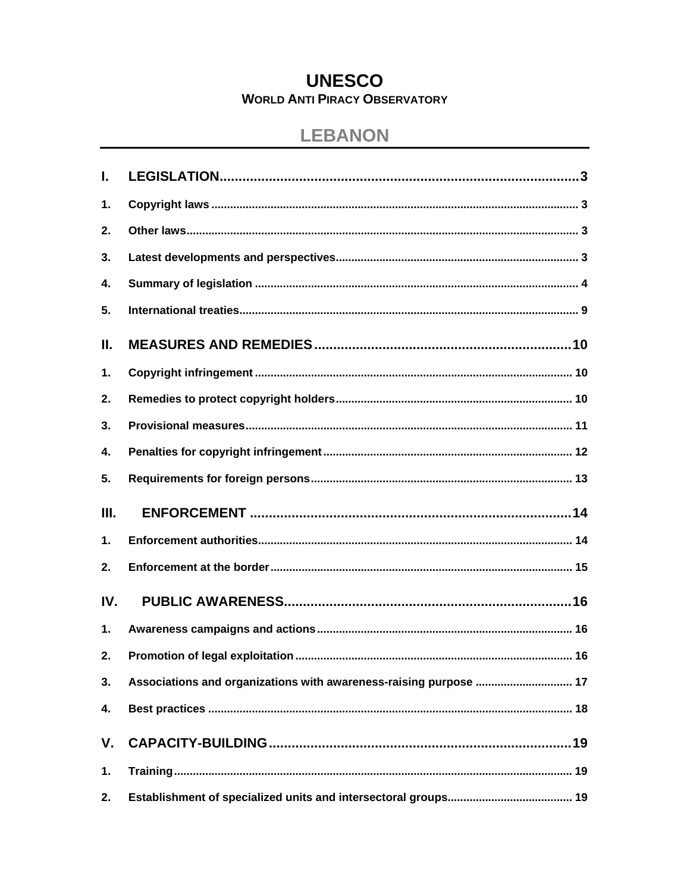# **UNESCO WORLD ANTI PIRACY OBSERVATORY**

# **LEBANON**

| I.            |                                                                   |
|---------------|-------------------------------------------------------------------|
| 1.            |                                                                   |
| 2.            |                                                                   |
| 3.            |                                                                   |
| 4.            |                                                                   |
| 5.            |                                                                   |
| Ⅱ.            |                                                                   |
| 1.            |                                                                   |
| 2.            |                                                                   |
| 3.            |                                                                   |
| 4.            |                                                                   |
| 5.            |                                                                   |
|               |                                                                   |
| III.          |                                                                   |
| $\mathbf 1$ . |                                                                   |
| 2.            |                                                                   |
| IV.           |                                                                   |
| $\mathbf 1$ . |                                                                   |
| 2.            |                                                                   |
| 3.            | Associations and organizations with awareness-raising purpose  17 |
| 4.            |                                                                   |
| V.            |                                                                   |
| 1.            |                                                                   |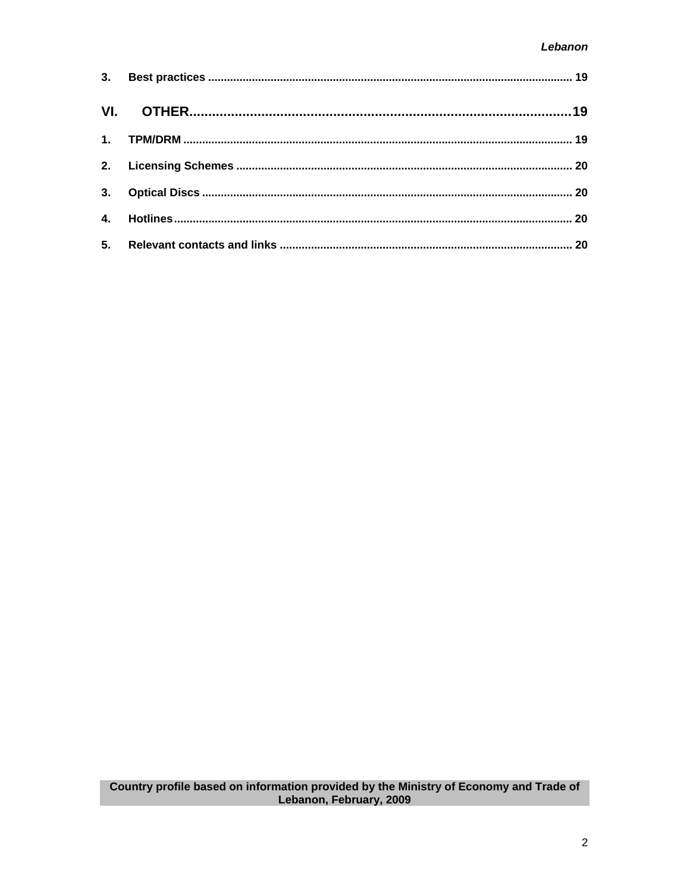| 4. |  |
|----|--|
|    |  |

Country profile based on information provided by the Ministry of Economy and Trade of<br>Lebanon, February, 2009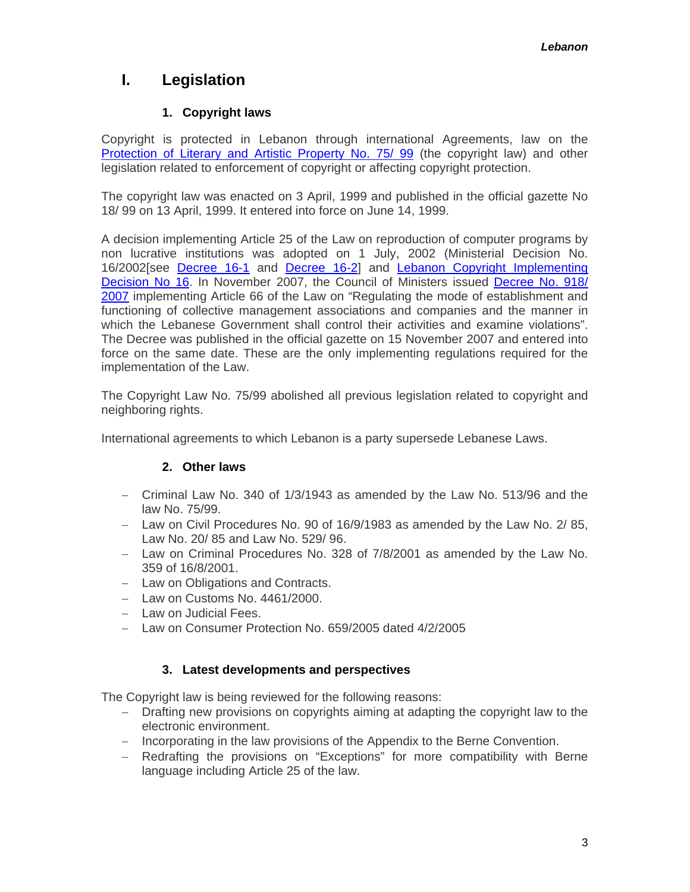# <span id="page-2-0"></span>**I. Legislation**

# **1. Copyright laws**

Copyright is protected in Lebanon through international Agreements, law on the [Protection of Literary and Artistic Property No. 75/ 99](http://www.wipo.int/clea/en/text_pdf.jsp?lang=EN&id=2786) (the copyright law) and other legislation related to enforcement of copyright or affecting copyright protection.

The copyright law was enacted on 3 April, 1999 and published in the official gazette No 18/ 99 on 13 April, 1999. It entered into force on June 14, 1999.

A decision implementing Article 25 of the Law on reproduction of computer programs by non lucrative institutions was adopted on 1 July, 2002 (Ministerial Decision No. 16/2002[see [Decree 16-1](http://www.unesco.org/culture/pdf/anti-piracy/Lebanon/lb_Decree16_1_ar) and [Decree 16-2\]](http://www.unesco.org/culture/pdf/anti-piracy/Lebanon/lb_Decree16_2_ar) and [Lebanon Copyright Implementing](http://www.unesco.org/culture/pdf/anti-piracy/Lebanon/lb_CopyrigtImplementingDec16_en)  [Decision No 16](http://www.unesco.org/culture/pdf/anti-piracy/Lebanon/lb_CopyrigtImplementingDec16_en). In November 2007, the Council of Ministers issued [Decree No. 918/](http://www.unesco.org/culture/pdf/anti-piracy/Lebanon/lb_DecreeGestioncollective_ar)  [2007](http://www.unesco.org/culture/pdf/anti-piracy/Lebanon/lb_DecreeGestioncollective_ar) implementing Article 66 of the Law on "Regulating the mode of establishment and functioning of collective management associations and companies and the manner in which the Lebanese Government shall control their activities and examine violations". The Decree was published in the official gazette on 15 November 2007 and entered into force on the same date. These are the only implementing regulations required for the implementation of the Law.

The Copyright Law No. 75/99 abolished all previous legislation related to copyright and neighboring rights.

International agreements to which Lebanon is a party supersede Lebanese Laws.

# **2. Other laws**

- − Criminal Law No. 340 of 1/3/1943 as amended by the Law No. 513/96 and the law No. 75/99.
- − Law on Civil Procedures No. 90 of 16/9/1983 as amended by the Law No. 2/ 85, Law No. 20/ 85 and Law No. 529/ 96.
- − Law on Criminal Procedures No. 328 of 7/8/2001 as amended by the Law No. 359 of 16/8/2001.
- − Law on Obligations and Contracts.
- − Law on Customs No. 4461/2000.
- − Law on Judicial Fees.
- − Law on Consumer Protection No. 659/2005 dated 4/2/2005

#### **3. Latest developments and perspectives**

The Copyright law is being reviewed for the following reasons:

- − Drafting new provisions on copyrights aiming at adapting the copyright law to the electronic environment.
- − Incorporating in the law provisions of the Appendix to the Berne Convention.
- − Redrafting the provisions on "Exceptions" for more compatibility with Berne language including Article 25 of the law.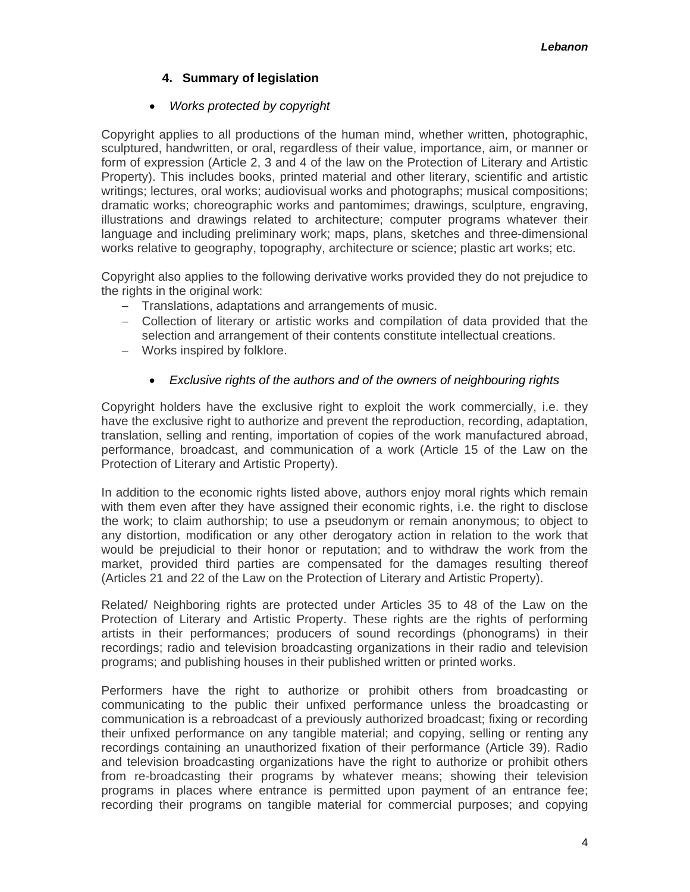### **4. Summary of legislation**

#### • *Works protected by copyright*

<span id="page-3-0"></span>Copyright applies to all productions of the human mind, whether written, photographic, sculptured, handwritten, or oral, regardless of their value, importance, aim, or manner or form of expression (Article 2, 3 and 4 of the law on the Protection of Literary and Artistic Property). This includes books, printed material and other literary, scientific and artistic writings; lectures, oral works; audiovisual works and photographs; musical compositions; dramatic works; choreographic works and pantomimes; drawings, sculpture, engraving, illustrations and drawings related to architecture; computer programs whatever their language and including preliminary work; maps, plans, sketches and three-dimensional works relative to geography, topography, architecture or science; plastic art works; etc.

Copyright also applies to the following derivative works provided they do not prejudice to the rights in the original work:

- − Translations, adaptations and arrangements of music.
- − Collection of literary or artistic works and compilation of data provided that the selection and arrangement of their contents constitute intellectual creations.
- − Works inspired by folklore.

#### • *Exclusive rights of the authors and of the owners of neighbouring rights*

Copyright holders have the exclusive right to exploit the work commercially, i.e. they have the exclusive right to authorize and prevent the reproduction, recording, adaptation, translation, selling and renting, importation of copies of the work manufactured abroad, performance, broadcast, and communication of a work (Article 15 of the Law on the Protection of Literary and Artistic Property).

In addition to the economic rights listed above, authors enjoy moral rights which remain with them even after they have assigned their economic rights, i.e. the right to disclose the work; to claim authorship; to use a pseudonym or remain anonymous; to object to any distortion, modification or any other derogatory action in relation to the work that would be prejudicial to their honor or reputation; and to withdraw the work from the market, provided third parties are compensated for the damages resulting thereof (Articles 21 and 22 of the Law on the Protection of Literary and Artistic Property).

Related/ Neighboring rights are protected under Articles 35 to 48 of the Law on the Protection of Literary and Artistic Property. These rights are the rights of performing artists in their performances; producers of sound recordings (phonograms) in their recordings; radio and television broadcasting organizations in their radio and television programs; and publishing houses in their published written or printed works.

Performers have the right to authorize or prohibit others from broadcasting or communicating to the public their unfixed performance unless the broadcasting or communication is a rebroadcast of a previously authorized broadcast; fixing or recording their unfixed performance on any tangible material; and copying, selling or renting any recordings containing an unauthorized fixation of their performance (Article 39). Radio and television broadcasting organizations have the right to authorize or prohibit others from re-broadcasting their programs by whatever means; showing their television programs in places where entrance is permitted upon payment of an entrance fee; recording their programs on tangible material for commercial purposes; and copying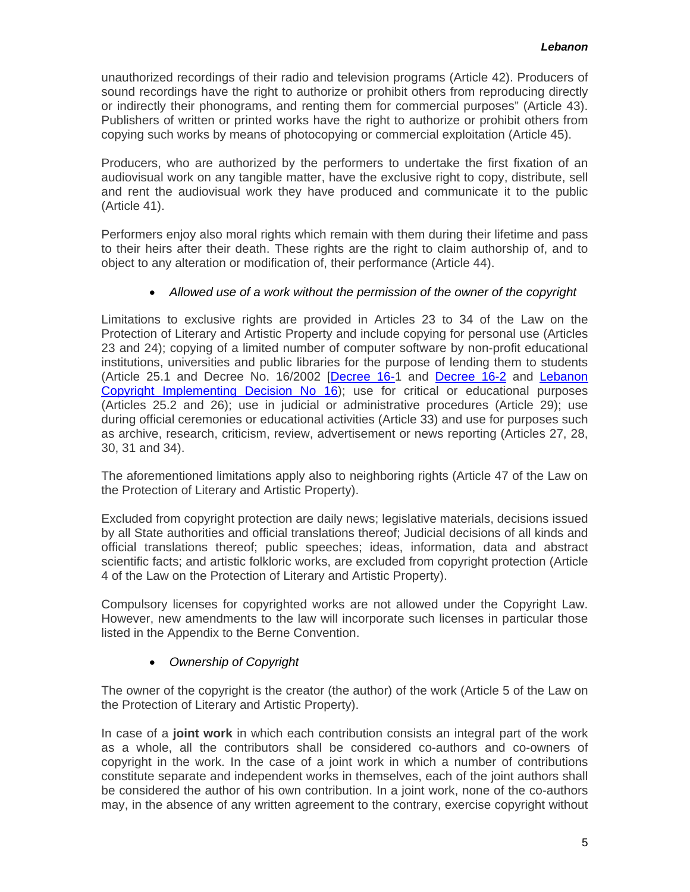unauthorized recordings of their radio and television programs (Article 42). Producers of sound recordings have the right to authorize or prohibit others from reproducing directly or indirectly their phonograms, and renting them for commercial purposes" (Article 43). Publishers of written or printed works have the right to authorize or prohibit others from copying such works by means of photocopying or commercial exploitation (Article 45).

Producers, who are authorized by the performers to undertake the first fixation of an audiovisual work on any tangible matter, have the exclusive right to copy, distribute, sell and rent the audiovisual work they have produced and communicate it to the public (Article 41).

Performers enjoy also moral rights which remain with them during their lifetime and pass to their heirs after their death. These rights are the right to claim authorship of, and to object to any alteration or modification of, their performance (Article 44).

### • *Allowed use of a work without the permission of the owner of the copyright*

Limitations to exclusive rights are provided in Articles 23 to 34 of the Law on the Protection of Literary and Artistic Property and include copying for personal use (Articles 23 and 24); copying of a limited number of computer software by non-profit educational institutions, universities and public libraries for the purpose of lending them to students (Article 25.1 and Decree No. 16/2002 [\[Decree 16-](http://www.unesco.org/culture/pdf/anti-piracy/Lebanon/lb_Decree16_1_ar)1 and [Decree 16-2](http://www.unesco.org/culture/pdf/anti-piracy/Lebanon/lb_Decree16_2_ar) and [Lebanon](http://www.unesco.org/culture/pdf/anti-piracy/Lebanon/lb_CopyrigtImplementingDec16_en)  [Copyright Implementing Decision No 16\)](http://www.unesco.org/culture/pdf/anti-piracy/Lebanon/lb_CopyrigtImplementingDec16_en); use for critical or educational purposes (Articles 25.2 and 26); use in judicial or administrative procedures (Article 29); use during official ceremonies or educational activities (Article 33) and use for purposes such as archive, research, criticism, review, advertisement or news reporting (Articles 27, 28, 30, 31 and 34).

The aforementioned limitations apply also to neighboring rights (Article 47 of the Law on the Protection of Literary and Artistic Property).

Excluded from copyright protection are daily news; legislative materials, decisions issued by all State authorities and official translations thereof; Judicial decisions of all kinds and official translations thereof; public speeches; ideas, information, data and abstract scientific facts; and artistic folkloric works, are excluded from copyright protection (Article 4 of the Law on the Protection of Literary and Artistic Property).

Compulsory licenses for copyrighted works are not allowed under the Copyright Law. However, new amendments to the law will incorporate such licenses in particular those listed in the Appendix to the Berne Convention.

# • *Ownership of Copyright*

The owner of the copyright is the creator (the author) of the work (Article 5 of the Law on the Protection of Literary and Artistic Property).

In case of a **joint work** in which each contribution consists an integral part of the work as a whole, all the contributors shall be considered co-authors and co-owners of copyright in the work. In the case of a joint work in which a number of contributions constitute separate and independent works in themselves, each of the joint authors shall be considered the author of his own contribution. In a joint work, none of the co-authors may, in the absence of any written agreement to the contrary, exercise copyright without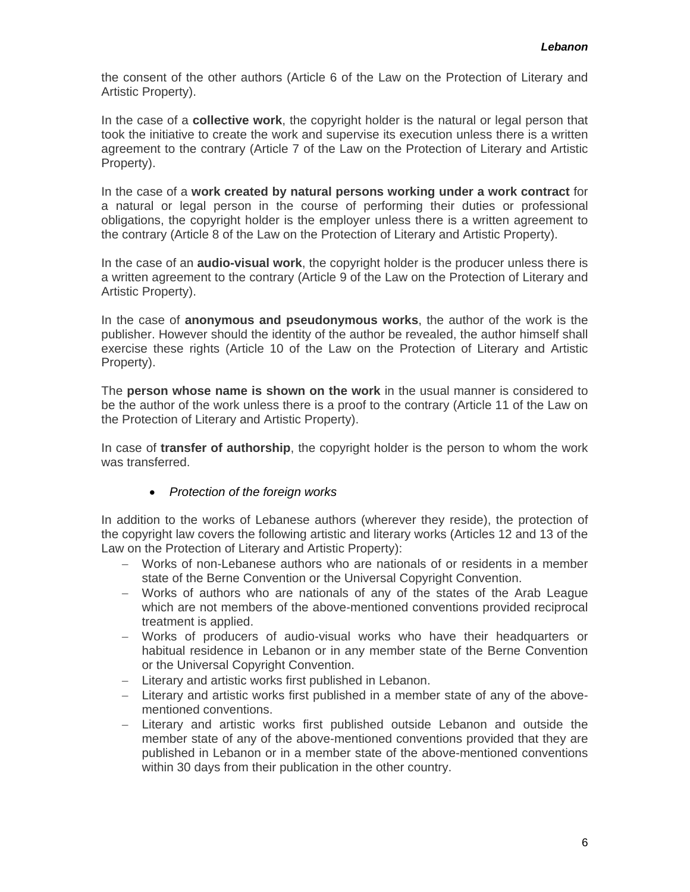the consent of the other authors (Article 6 of the Law on the Protection of Literary and Artistic Property).

In the case of a **collective work**, the copyright holder is the natural or legal person that took the initiative to create the work and supervise its execution unless there is a written agreement to the contrary (Article 7 of the Law on the Protection of Literary and Artistic Property).

In the case of a **work created by natural persons working under a work contract** for a natural or legal person in the course of performing their duties or professional obligations, the copyright holder is the employer unless there is a written agreement to the contrary (Article 8 of the Law on the Protection of Literary and Artistic Property).

In the case of an **audio-visual work**, the copyright holder is the producer unless there is a written agreement to the contrary (Article 9 of the Law on the Protection of Literary and Artistic Property).

In the case of **anonymous and pseudonymous works**, the author of the work is the publisher. However should the identity of the author be revealed, the author himself shall exercise these rights (Article 10 of the Law on the Protection of Literary and Artistic Property).

The **person whose name is shown on the work** in the usual manner is considered to be the author of the work unless there is a proof to the contrary (Article 11 of the Law on the Protection of Literary and Artistic Property).

In case of **transfer of authorship**, the copyright holder is the person to whom the work was transferred.

#### • *Protection of the foreign works*

In addition to the works of Lebanese authors (wherever they reside), the protection of the copyright law covers the following artistic and literary works (Articles 12 and 13 of the Law on the Protection of Literary and Artistic Property):

- − Works of non-Lebanese authors who are nationals of or residents in a member state of the Berne Convention or the Universal Copyright Convention.
- − Works of authors who are nationals of any of the states of the Arab League which are not members of the above-mentioned conventions provided reciprocal treatment is applied.
- − Works of producers of audio-visual works who have their headquarters or habitual residence in Lebanon or in any member state of the Berne Convention or the Universal Copyright Convention.
- − Literary and artistic works first published in Lebanon.
- − Literary and artistic works first published in a member state of any of the abovementioned conventions.
- − Literary and artistic works first published outside Lebanon and outside the member state of any of the above-mentioned conventions provided that they are published in Lebanon or in a member state of the above-mentioned conventions within 30 days from their publication in the other country.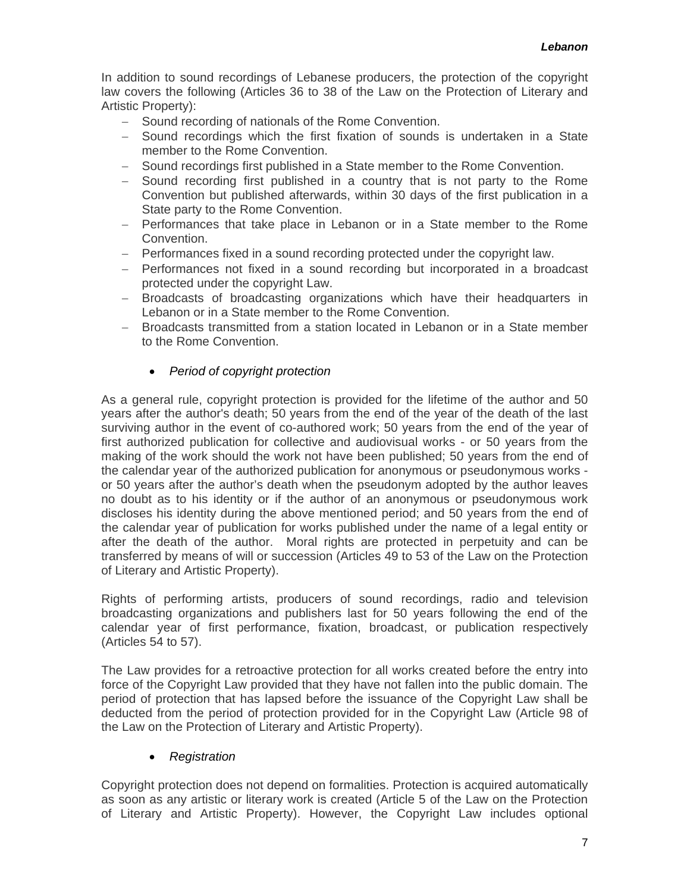In addition to sound recordings of Lebanese producers, the protection of the copyright law covers the following (Articles 36 to 38 of the Law on the Protection of Literary and Artistic Property):

- − Sound recording of nationals of the Rome Convention.
- − Sound recordings which the first fixation of sounds is undertaken in a State member to the Rome Convention.
- − Sound recordings first published in a State member to the Rome Convention.
- − Sound recording first published in a country that is not party to the Rome Convention but published afterwards, within 30 days of the first publication in a State party to the Rome Convention.
- − Performances that take place in Lebanon or in a State member to the Rome Convention.
- − Performances fixed in a sound recording protected under the copyright law.
- − Performances not fixed in a sound recording but incorporated in a broadcast protected under the copyright Law.
- − Broadcasts of broadcasting organizations which have their headquarters in Lebanon or in a State member to the Rome Convention.
- − Broadcasts transmitted from a station located in Lebanon or in a State member to the Rome Convention.

#### • *Period of copyright protection*

As a general rule, copyright protection is provided for the lifetime of the author and 50 years after the author's death; 50 years from the end of the year of the death of the last surviving author in the event of co-authored work; 50 years from the end of the year of first authorized publication for collective and audiovisual works - or 50 years from the making of the work should the work not have been published; 50 years from the end of the calendar year of the authorized publication for anonymous or pseudonymous works or 50 years after the author's death when the pseudonym adopted by the author leaves no doubt as to his identity or if the author of an anonymous or pseudonymous work discloses his identity during the above mentioned period; and 50 years from the end of the calendar year of publication for works published under the name of a legal entity or after the death of the author. Moral rights are protected in perpetuity and can be transferred by means of will or succession (Articles 49 to 53 of the Law on the Protection of Literary and Artistic Property).

Rights of performing artists, producers of sound recordings, radio and television broadcasting organizations and publishers last for 50 years following the end of the calendar year of first performance, fixation, broadcast, or publication respectively (Articles 54 to 57).

The Law provides for a retroactive protection for all works created before the entry into force of the Copyright Law provided that they have not fallen into the public domain. The period of protection that has lapsed before the issuance of the Copyright Law shall be deducted from the period of protection provided for in the Copyright Law (Article 98 of the Law on the Protection of Literary and Artistic Property).

#### • *Registration*

Copyright protection does not depend on formalities. Protection is acquired automatically as soon as any artistic or literary work is created (Article 5 of the Law on the Protection of Literary and Artistic Property). However, the Copyright Law includes optional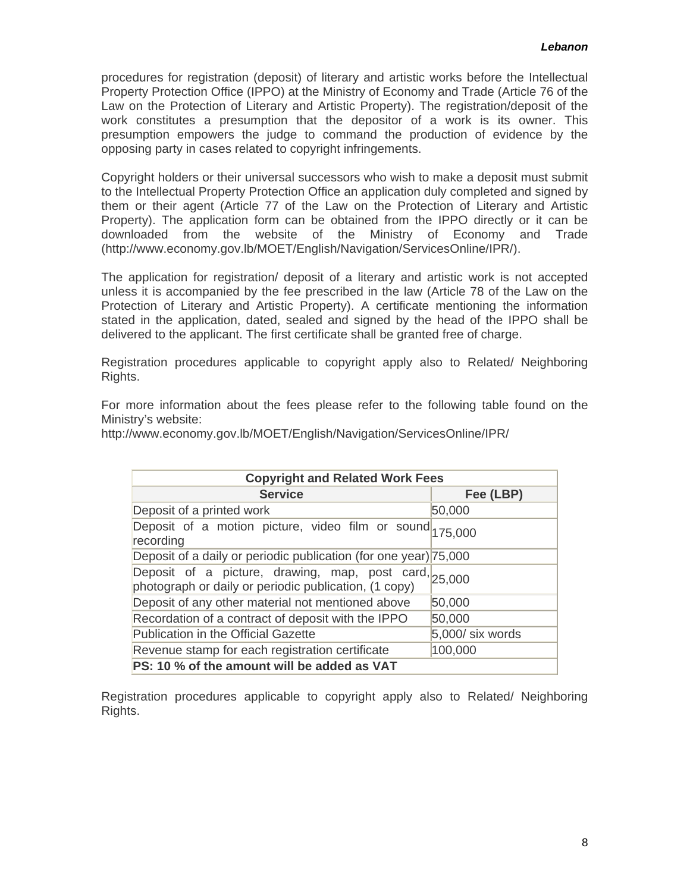procedures for registration (deposit) of literary and artistic works before the Intellectual Property Protection Office (IPPO) at the Ministry of Economy and Trade (Article 76 of the Law on the Protection of Literary and Artistic Property). The registration/deposit of the work constitutes a presumption that the depositor of a work is its owner. This presumption empowers the judge to command the production of evidence by the opposing party in cases related to copyright infringements.

Copyright holders or their universal successors who wish to make a deposit must submit to the Intellectual Property Protection Office an application duly completed and signed by them or their agent (Article 77 of the Law on the Protection of Literary and Artistic Property). The application form can be obtained from the IPPO directly or it can be downloaded from the website of the Ministry of Economy and Trade ([http://www.economy.gov.lb/MOET/English/Navigation/ServicesOnline/IPR/\)](http://www.economy.gov.lb/MOET/English/Navigation/ServicesOnline/IPR/).

The application for registration/ deposit of a literary and artistic work is not accepted unless it is accompanied by the fee prescribed in the law (Article 78 of the Law on the Protection of Literary and Artistic Property). A certificate mentioning the information stated in the application, dated, sealed and signed by the head of the IPPO shall be delivered to the applicant. The first certificate shall be granted free of charge.

Registration procedures applicable to copyright apply also to Related/ Neighboring Rights.

For more information about the fees please refer to the following table found on the Ministry's website:

<http://www.economy.gov.lb/MOET/English/Navigation/ServicesOnline/IPR/>

| <b>Copyright and Related Work Fees</b>                                                                                     |                  |  |  |
|----------------------------------------------------------------------------------------------------------------------------|------------------|--|--|
| <b>Service</b>                                                                                                             | Fee (LBP)        |  |  |
| Deposit of a printed work                                                                                                  | 50,000           |  |  |
| Deposit of a motion picture, video film or sound $175,000$<br>recording                                                    |                  |  |  |
| Deposit of a daily or periodic publication (for one year) 75,000                                                           |                  |  |  |
| Deposit of a picture, drawing, map, post card, $25,000$<br>photograph or daily or periodic publication, $(1 \text{ copy})$ |                  |  |  |
| Deposit of any other material not mentioned above                                                                          | 50,000           |  |  |
| Recordation of a contract of deposit with the IPPO                                                                         | 50,000           |  |  |
| <b>Publication in the Official Gazette</b>                                                                                 | 5,000/ six words |  |  |
| Revenue stamp for each registration certificate                                                                            | 100,000          |  |  |
| PS: 10 % of the amount will be added as VAT                                                                                |                  |  |  |

Registration procedures applicable to copyright apply also to Related/ Neighboring Rights.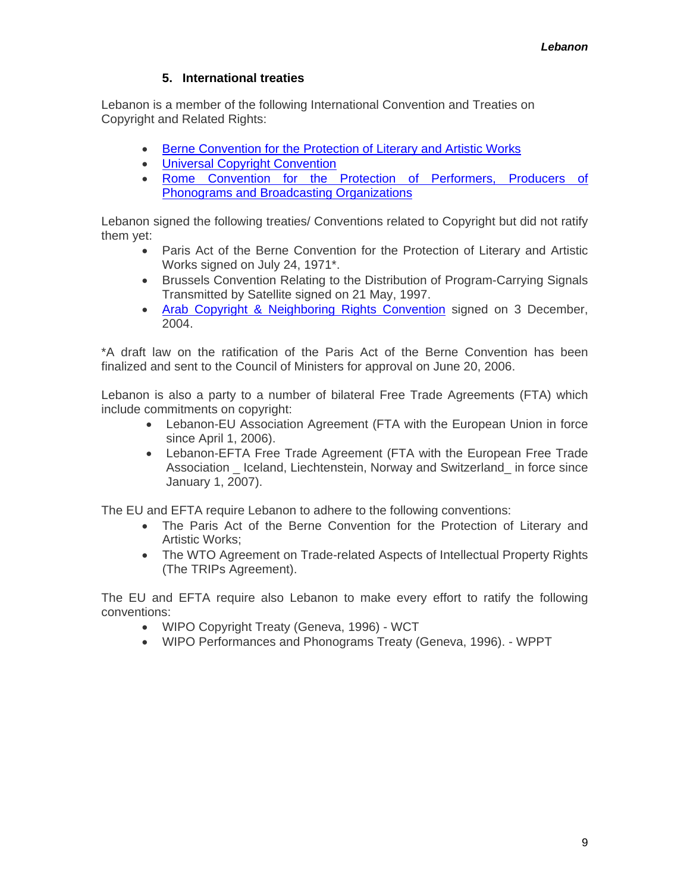#### **5. International treaties**

<span id="page-8-0"></span>Lebanon is a member of the following International Convention and Treaties on Copyright and Related Rights:

- [Berne Convention for the Protection of Literary and Artistic Works](http://www.wipo.int/treaties/en/ip/berne/trtdocs_wo001.html)
- [Universal Copyright Convention](http://portal.unesco.org/en/ev.php-URL_ID=15241&URL_DO=DO_TOPIC&URL_SECTION=201.html)
- [Rome Convention for the Protection of Performers, Producers of](http://www.wipo.int/treaties/en/ip/rome/trtdocs_wo024.html)  [Phonograms and Broadcasting Organizations](http://www.wipo.int/treaties/en/ip/rome/trtdocs_wo024.html)

Lebanon signed the following treaties/ Conventions related to Copyright but did not ratify them yet:

- Paris Act of the Berne Convention for the Protection of Literary and Artistic Works signed on July 24, 1971\*.
- Brussels Convention Relating to the Distribution of Program-Carrying Signals Transmitted by Satellite signed on 21 May, 1997.
- [Arab Copyright & Neighboring Rights Convention](http://www.alecso.org.tn/) signed on 3 December, 2004.

\*A draft law on the ratification of the Paris Act of the Berne Convention has been finalized and sent to the Council of Ministers for approval on June 20, 2006.

Lebanon is also a party to a number of bilateral Free Trade Agreements (FTA) which include commitments on copyright:

- Lebanon-EU Association Agreement (FTA with the European Union in force since April 1, 2006).
- Lebanon-EFTA Free Trade Agreement (FTA with the European Free Trade Association Iceland, Liechtenstein, Norway and Switzerland in force since January 1, 2007).

The EU and EFTA require Lebanon to adhere to the following conventions:

- The Paris Act of the Berne Convention for the Protection of Literary and Artistic Works;
- The WTO Agreement on Trade-related Aspects of Intellectual Property Rights (The TRIPs Agreement).

The EU and EFTA require also Lebanon to make every effort to ratify the following conventions:

- WIPO Copyright Treaty (Geneva, 1996) WCT
- WIPO Performances and Phonograms Treaty (Geneva, 1996). WPPT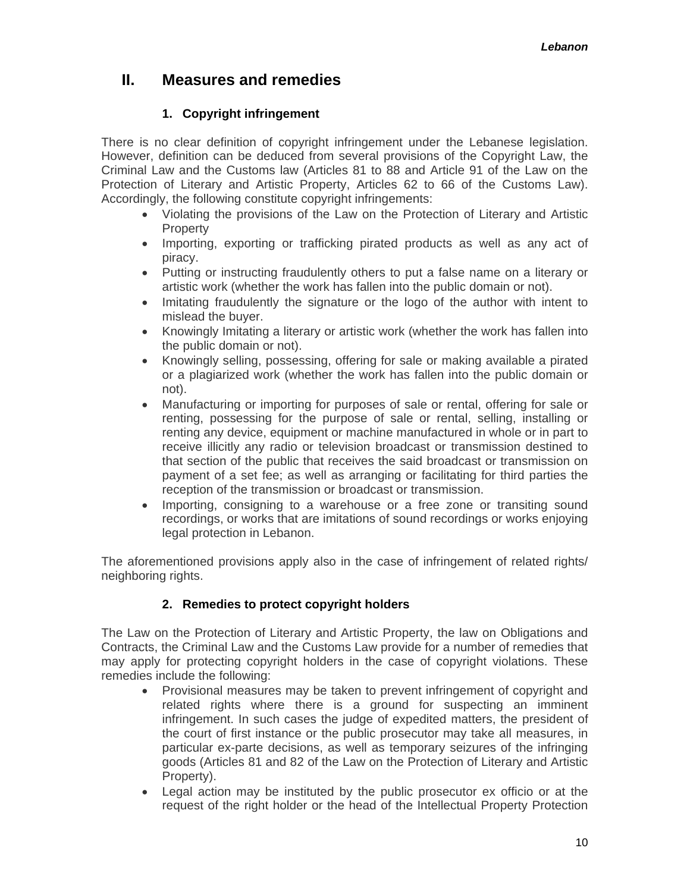# <span id="page-9-0"></span>**II. Measures and remedies**

# **1. Copyright infringement**

There is no clear definition of copyright infringement under the Lebanese legislation. However, definition can be deduced from several provisions of the Copyright Law, the Criminal Law and the Customs law (Articles 81 to 88 and Article 91 of the Law on the Protection of Literary and Artistic Property, Articles 62 to 66 of the Customs Law). Accordingly, the following constitute copyright infringements:

- Violating the provisions of the Law on the Protection of Literary and Artistic **Property**
- Importing, exporting or trafficking pirated products as well as any act of piracy.
- Putting or instructing fraudulently others to put a false name on a literary or artistic work (whether the work has fallen into the public domain or not).
- Imitating fraudulently the signature or the logo of the author with intent to mislead the buyer.
- Knowingly Imitating a literary or artistic work (whether the work has fallen into the public domain or not).
- Knowingly selling, possessing, offering for sale or making available a pirated or a plagiarized work (whether the work has fallen into the public domain or not).
- Manufacturing or importing for purposes of sale or rental, offering for sale or renting, possessing for the purpose of sale or rental, selling, installing or renting any device, equipment or machine manufactured in whole or in part to receive illicitly any radio or television broadcast or transmission destined to that section of the public that receives the said broadcast or transmission on payment of a set fee; as well as arranging or facilitating for third parties the reception of the transmission or broadcast or transmission.
- Importing, consigning to a warehouse or a free zone or transiting sound recordings, or works that are imitations of sound recordings or works enjoying legal protection in Lebanon.

The aforementioned provisions apply also in the case of infringement of related rights/ neighboring rights.

# **2. Remedies to protect copyright holders**

The Law on the Protection of Literary and Artistic Property, the law on Obligations and Contracts, the Criminal Law and the Customs Law provide for a number of remedies that may apply for protecting copyright holders in the case of copyright violations. These remedies include the following:

- Provisional measures may be taken to prevent infringement of copyright and related rights where there is a ground for suspecting an imminent infringement. In such cases the judge of expedited matters, the president of the court of first instance or the public prosecutor may take all measures, in particular ex-parte decisions, as well as temporary seizures of the infringing goods (Articles 81 and 82 of the Law on the Protection of Literary and Artistic Property).
- Legal action may be instituted by the public prosecutor ex officio or at the request of the right holder or the head of the Intellectual Property Protection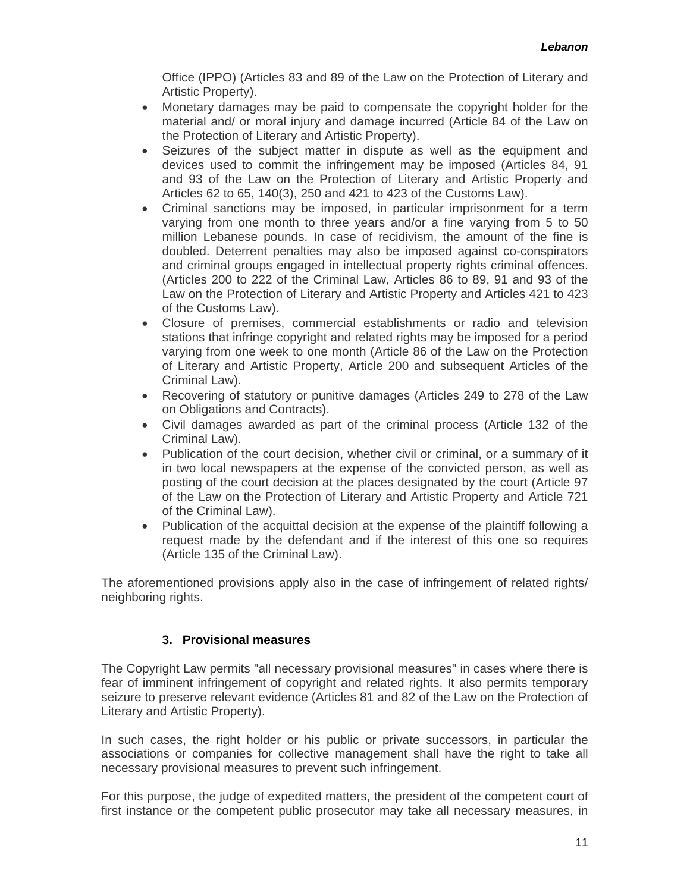Office (IPPO) (Articles 83 and 89 of the Law on the Protection of Literary and Artistic Property).

- <span id="page-10-0"></span>• Monetary damages may be paid to compensate the copyright holder for the material and/ or moral injury and damage incurred (Article 84 of the Law on the Protection of Literary and Artistic Property).
- Seizures of the subject matter in dispute as well as the equipment and devices used to commit the infringement may be imposed (Articles 84, 91 and 93 of the Law on the Protection of Literary and Artistic Property and Articles 62 to 65, 140(3), 250 and 421 to 423 of the Customs Law).
- Criminal sanctions may be imposed, in particular imprisonment for a term varying from one month to three years and/or a fine varying from 5 to 50 million Lebanese pounds. In case of recidivism, the amount of the fine is doubled. Deterrent penalties may also be imposed against co-conspirators and criminal groups engaged in intellectual property rights criminal offences. (Articles 200 to 222 of the Criminal Law, Articles 86 to 89, 91 and 93 of the Law on the Protection of Literary and Artistic Property and Articles 421 to 423 of the Customs Law).
- Closure of premises, commercial establishments or radio and television stations that infringe copyright and related rights may be imposed for a period varying from one week to one month (Article 86 of the Law on the Protection of Literary and Artistic Property, Article 200 and subsequent Articles of the Criminal Law).
- Recovering of statutory or punitive damages (Articles 249 to 278 of the Law on Obligations and Contracts).
- Civil damages awarded as part of the criminal process (Article 132 of the Criminal Law).
- Publication of the court decision, whether civil or criminal, or a summary of it in two local newspapers at the expense of the convicted person, as well as posting of the court decision at the places designated by the court (Article 97 of the Law on the Protection of Literary and Artistic Property and Article 721 of the Criminal Law).
- Publication of the acquittal decision at the expense of the plaintiff following a request made by the defendant and if the interest of this one so requires (Article 135 of the Criminal Law).

The aforementioned provisions apply also in the case of infringement of related rights/ neighboring rights.

#### **3. Provisional measures**

The Copyright Law permits "all necessary provisional measures" in cases where there is fear of imminent infringement of copyright and related rights. It also permits temporary seizure to preserve relevant evidence (Articles 81 and 82 of the Law on the Protection of Literary and Artistic Property).

In such cases, the right holder or his public or private successors, in particular the associations or companies for collective management shall have the right to take all necessary provisional measures to prevent such infringement.

For this purpose, the judge of expedited matters, the president of the competent court of first instance or the competent public prosecutor may take all necessary measures, in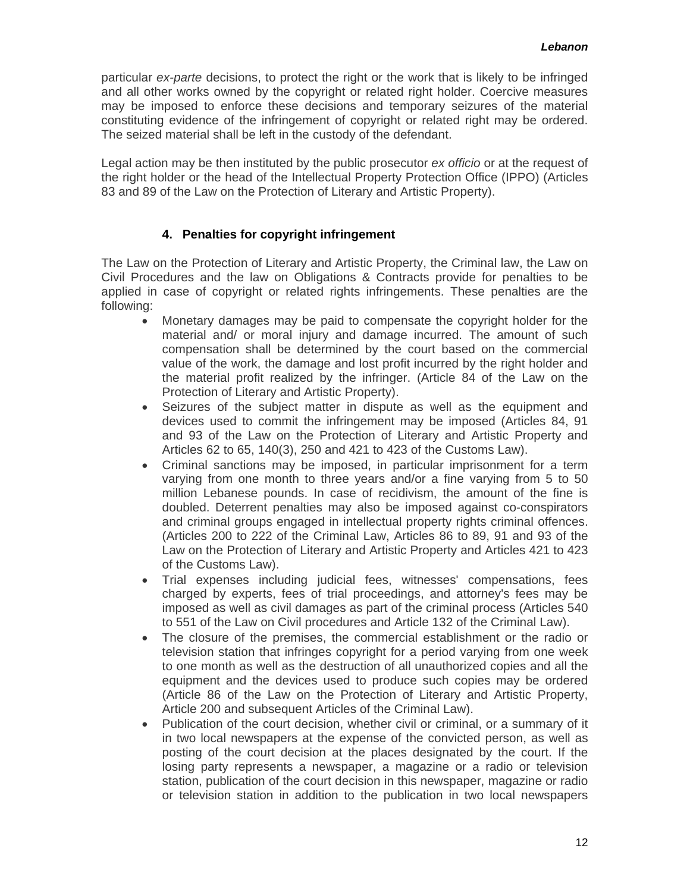<span id="page-11-0"></span>particular *ex-parte* decisions, to protect the right or the work that is likely to be infringed and all other works owned by the copyright or related right holder. Coercive measures may be imposed to enforce these decisions and temporary seizures of the material constituting evidence of the infringement of copyright or related right may be ordered. The seized material shall be left in the custody of the defendant.

Legal action may be then instituted by the public prosecutor *ex officio* or at the request of the right holder or the head of the Intellectual Property Protection Office (IPPO) (Articles 83 and 89 of the Law on the Protection of Literary and Artistic Property).

#### **4. Penalties for copyright infringement**

The Law on the Protection of Literary and Artistic Property, the Criminal law, the Law on Civil Procedures and the law on Obligations & Contracts provide for penalties to be applied in case of copyright or related rights infringements. These penalties are the following:

- Monetary damages may be paid to compensate the copyright holder for the material and/ or moral injury and damage incurred. The amount of such compensation shall be determined by the court based on the commercial value of the work, the damage and lost profit incurred by the right holder and the material profit realized by the infringer. (Article 84 of the Law on the Protection of Literary and Artistic Property).
- Seizures of the subject matter in dispute as well as the equipment and devices used to commit the infringement may be imposed (Articles 84, 91 and 93 of the Law on the Protection of Literary and Artistic Property and Articles 62 to 65, 140(3), 250 and 421 to 423 of the Customs Law).
- Criminal sanctions may be imposed, in particular imprisonment for a term varying from one month to three years and/or a fine varying from 5 to 50 million Lebanese pounds. In case of recidivism, the amount of the fine is doubled. Deterrent penalties may also be imposed against co-conspirators and criminal groups engaged in intellectual property rights criminal offences. (Articles 200 to 222 of the Criminal Law, Articles 86 to 89, 91 and 93 of the Law on the Protection of Literary and Artistic Property and Articles 421 to 423 of the Customs Law).
- Trial expenses including judicial fees, witnesses' compensations, fees charged by experts, fees of trial proceedings, and attorney's fees may be imposed as well as civil damages as part of the criminal process (Articles 540 to 551 of the Law on Civil procedures and Article 132 of the Criminal Law).
- The closure of the premises, the commercial establishment or the radio or television station that infringes copyright for a period varying from one week to one month as well as the destruction of all unauthorized copies and all the equipment and the devices used to produce such copies may be ordered (Article 86 of the Law on the Protection of Literary and Artistic Property, Article 200 and subsequent Articles of the Criminal Law).
- Publication of the court decision, whether civil or criminal, or a summary of it in two local newspapers at the expense of the convicted person, as well as posting of the court decision at the places designated by the court. If the losing party represents a newspaper, a magazine or a radio or television station, publication of the court decision in this newspaper, magazine or radio or television station in addition to the publication in two local newspapers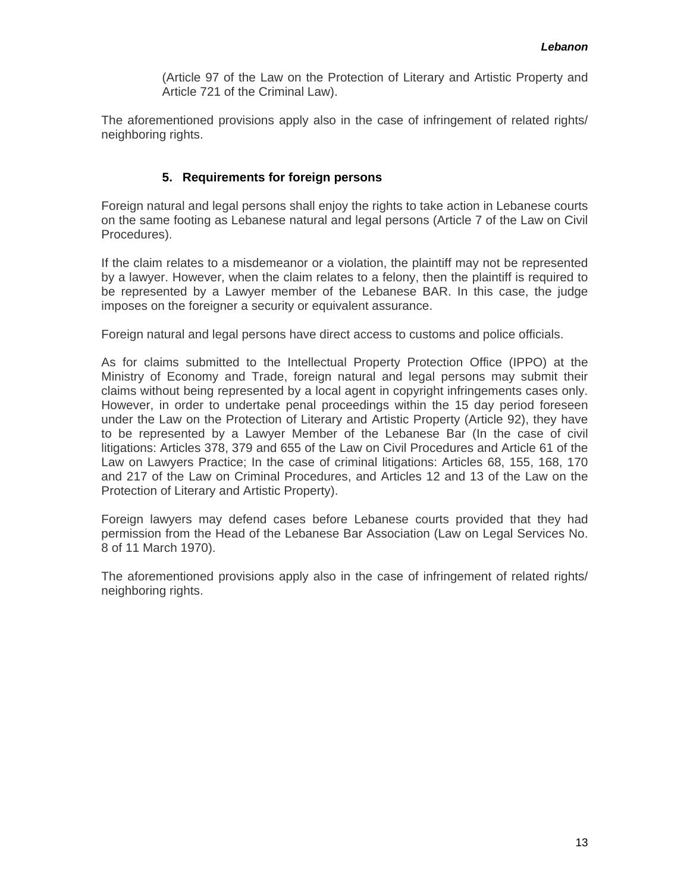(Article 97 of the Law on the Protection of Literary and Artistic Property and Article 721 of the Criminal Law).

<span id="page-12-0"></span>The aforementioned provisions apply also in the case of infringement of related rights/ neighboring rights.

#### **5. Requirements for foreign persons**

Foreign natural and legal persons shall enjoy the rights to take action in Lebanese courts on the same footing as Lebanese natural and legal persons (Article 7 of the Law on Civil Procedures).

If the claim relates to a misdemeanor or a violation, the plaintiff may not be represented by a lawyer. However, when the claim relates to a felony, then the plaintiff is required to be represented by a Lawyer member of the Lebanese BAR. In this case, the judge imposes on the foreigner a security or equivalent assurance.

Foreign natural and legal persons have direct access to customs and police officials.

As for claims submitted to the Intellectual Property Protection Office (IPPO) at the Ministry of Economy and Trade, foreign natural and legal persons may submit their claims without being represented by a local agent in copyright infringements cases only. However, in order to undertake penal proceedings within the 15 day period foreseen under the Law on the Protection of Literary and Artistic Property (Article 92), they have to be represented by a Lawyer Member of the Lebanese Bar (In the case of civil litigations: Articles 378, 379 and 655 of the Law on Civil Procedures and Article 61 of the Law on Lawyers Practice; In the case of criminal litigations: Articles 68, 155, 168, 170 and 217 of the Law on Criminal Procedures, and Articles 12 and 13 of the Law on the Protection of Literary and Artistic Property).

Foreign lawyers may defend cases before Lebanese courts provided that they had permission from the Head of the Lebanese Bar Association (Law on Legal Services No. 8 of 11 March 1970).

The aforementioned provisions apply also in the case of infringement of related rights/ neighboring rights.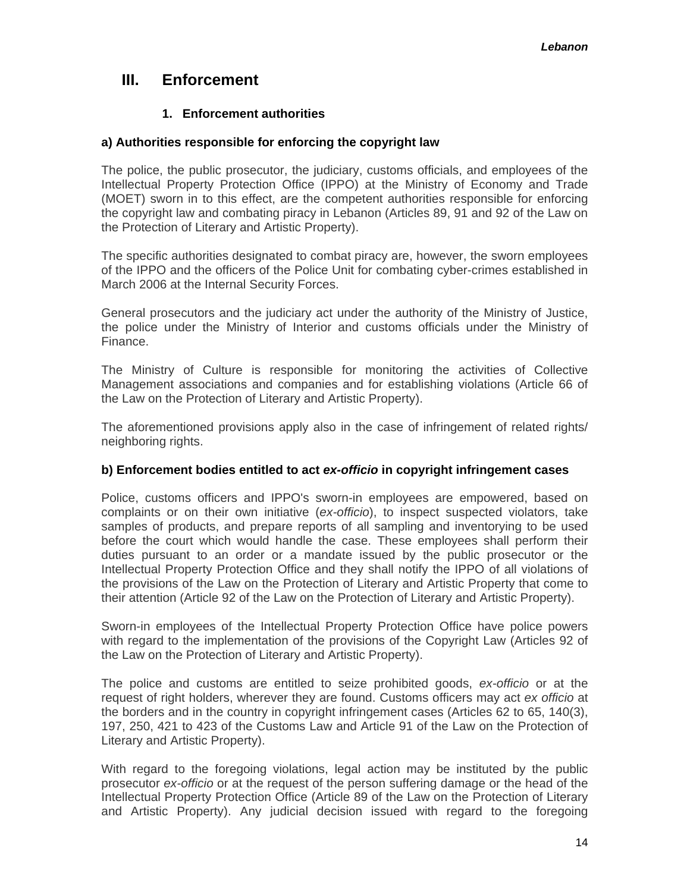# <span id="page-13-0"></span>**III. Enforcement**

### **1. Enforcement authorities**

#### **a) Authorities responsible for enforcing the copyright law**

The police, the public prosecutor, the judiciary, customs officials, and employees of the Intellectual Property Protection Office (IPPO) at the Ministry of Economy and Trade (MOET) sworn in to this effect, are the competent authorities responsible for enforcing the copyright law and combating piracy in Lebanon (Articles 89, 91 and 92 of the Law on the Protection of Literary and Artistic Property).

The specific authorities designated to combat piracy are, however, the sworn employees of the IPPO and the officers of the Police Unit for combating cyber-crimes established in March 2006 at the Internal Security Forces.

General prosecutors and the judiciary act under the authority of the Ministry of Justice, the police under the Ministry of Interior and customs officials under the Ministry of Finance.

The Ministry of Culture is responsible for monitoring the activities of Collective Management associations and companies and for establishing violations (Article 66 of the Law on the Protection of Literary and Artistic Property).

The aforementioned provisions apply also in the case of infringement of related rights/ neighboring rights.

#### **b) Enforcement bodies entitled to act** *ex-officio* **in copyright infringement cases**

Police, customs officers and IPPO's sworn-in employees are empowered, based on complaints or on their own initiative (*ex-officio*), to inspect suspected violators, take samples of products, and prepare reports of all sampling and inventorying to be used before the court which would handle the case. These employees shall perform their duties pursuant to an order or a mandate issued by the public prosecutor or the Intellectual Property Protection Office and they shall notify the IPPO of all violations of the provisions of the Law on the Protection of Literary and Artistic Property that come to their attention (Article 92 of the Law on the Protection of Literary and Artistic Property).

Sworn-in employees of the Intellectual Property Protection Office have police powers with regard to the implementation of the provisions of the Copyright Law (Articles 92 of the Law on the Protection of Literary and Artistic Property).

The police and customs are entitled to seize prohibited goods, *ex-officio* or at the request of right holders, wherever they are found. Customs officers may act *ex officio* at the borders and in the country in copyright infringement cases (Articles 62 to 65, 140(3), 197, 250, 421 to 423 of the Customs Law and Article 91 of the Law on the Protection of Literary and Artistic Property).

With regard to the foregoing violations, legal action may be instituted by the public prosecutor *ex-officio* or at the request of the person suffering damage or the head of the Intellectual Property Protection Office (Article 89 of the Law on the Protection of Literary and Artistic Property). Any judicial decision issued with regard to the foregoing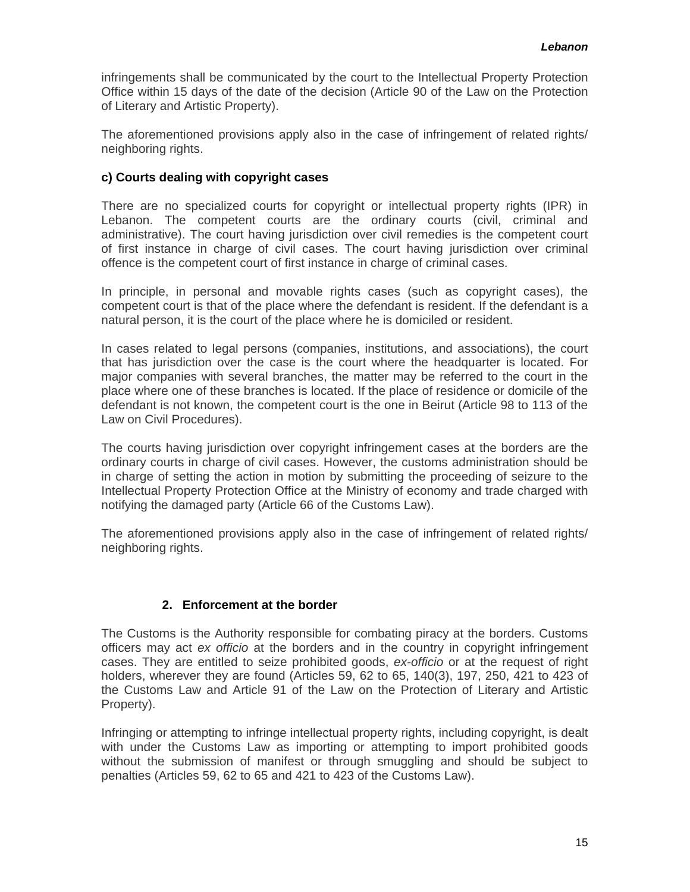<span id="page-14-0"></span>infringements shall be communicated by the court to the Intellectual Property Protection Office within 15 days of the date of the decision (Article 90 of the Law on the Protection of Literary and Artistic Property).

The aforementioned provisions apply also in the case of infringement of related rights/ neighboring rights.

#### **c) Courts dealing with copyright cases**

There are no specialized courts for copyright or intellectual property rights (IPR) in Lebanon. The competent courts are the ordinary courts (civil, criminal and administrative). The court having jurisdiction over civil remedies is the competent court of first instance in charge of civil cases. The court having jurisdiction over criminal offence is the competent court of first instance in charge of criminal cases.

In principle, in personal and movable rights cases (such as copyright cases), the competent court is that of the place where the defendant is resident. If the defendant is a natural person, it is the court of the place where he is domiciled or resident.

In cases related to legal persons (companies, institutions, and associations), the court that has jurisdiction over the case is the court where the headquarter is located. For major companies with several branches, the matter may be referred to the court in the place where one of these branches is located. If the place of residence or domicile of the defendant is not known, the competent court is the one in Beirut (Article 98 to 113 of the Law on Civil Procedures).

The courts having jurisdiction over copyright infringement cases at the borders are the ordinary courts in charge of civil cases. However, the customs administration should be in charge of setting the action in motion by submitting the proceeding of seizure to the Intellectual Property Protection Office at the Ministry of economy and trade charged with notifying the damaged party (Article 66 of the Customs Law).

The aforementioned provisions apply also in the case of infringement of related rights/ neighboring rights.

#### **2. Enforcement at the border**

The Customs is the Authority responsible for combating piracy at the borders. Customs officers may act *ex officio* at the borders and in the country in copyright infringement cases. They are entitled to seize prohibited goods, *ex-officio* or at the request of right holders, wherever they are found (Articles 59, 62 to 65, 140(3), 197, 250, 421 to 423 of the Customs Law and Article 91 of the Law on the Protection of Literary and Artistic Property).

Infringing or attempting to infringe intellectual property rights, including copyright, is dealt with under the Customs Law as importing or attempting to import prohibited goods without the submission of manifest or through smuggling and should be subject to penalties (Articles 59, 62 to 65 and 421 to 423 of the Customs Law).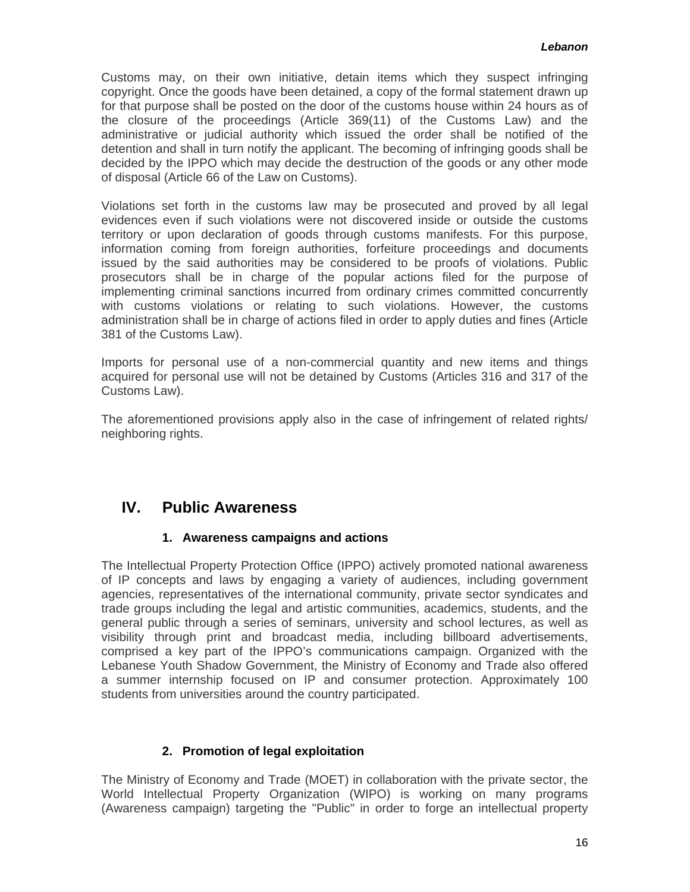<span id="page-15-0"></span>Customs may, on their own initiative, detain items which they suspect infringing copyright. Once the goods have been detained, a copy of the formal statement drawn up for that purpose shall be posted on the door of the customs house within 24 hours as of the closure of the proceedings (Article 369(11) of the Customs Law) and the administrative or judicial authority which issued the order shall be notified of the detention and shall in turn notify the applicant. The becoming of infringing goods shall be decided by the IPPO which may decide the destruction of the goods or any other mode of disposal (Article 66 of the Law on Customs).

Violations set forth in the customs law may be prosecuted and proved by all legal evidences even if such violations were not discovered inside or outside the customs territory or upon declaration of goods through customs manifests. For this purpose, information coming from foreign authorities, forfeiture proceedings and documents issued by the said authorities may be considered to be proofs of violations. Public prosecutors shall be in charge of the popular actions filed for the purpose of implementing criminal sanctions incurred from ordinary crimes committed concurrently with customs violations or relating to such violations. However, the customs administration shall be in charge of actions filed in order to apply duties and fines (Article 381 of the Customs Law).

Imports for personal use of a non-commercial quantity and new items and things acquired for personal use will not be detained by Customs (Articles 316 and 317 of the Customs Law).

The aforementioned provisions apply also in the case of infringement of related rights/ neighboring rights.

# **IV. Public Awareness**

# **1. Awareness campaigns and actions**

The Intellectual Property Protection Office (IPPO) actively promoted national awareness of IP concepts and laws by engaging a variety of audiences, including government agencies, representatives of the international community, private sector syndicates and trade groups including the legal and artistic communities, academics, students, and the general public through a series of seminars, university and school lectures, as well as visibility through print and broadcast media, including billboard advertisements, comprised a key part of the IPPO's communications campaign. Organized with the Lebanese Youth Shadow Government, the Ministry of Economy and Trade also offered a summer internship focused on IP and consumer protection. Approximately 100 students from universities around the country participated.

# **2. Promotion of legal exploitation**

The Ministry of Economy and Trade (MOET) in collaboration with the private sector, the World Intellectual Property Organization (WIPO) is working on many programs (Awareness campaign) targeting the "Public" in order to forge an intellectual property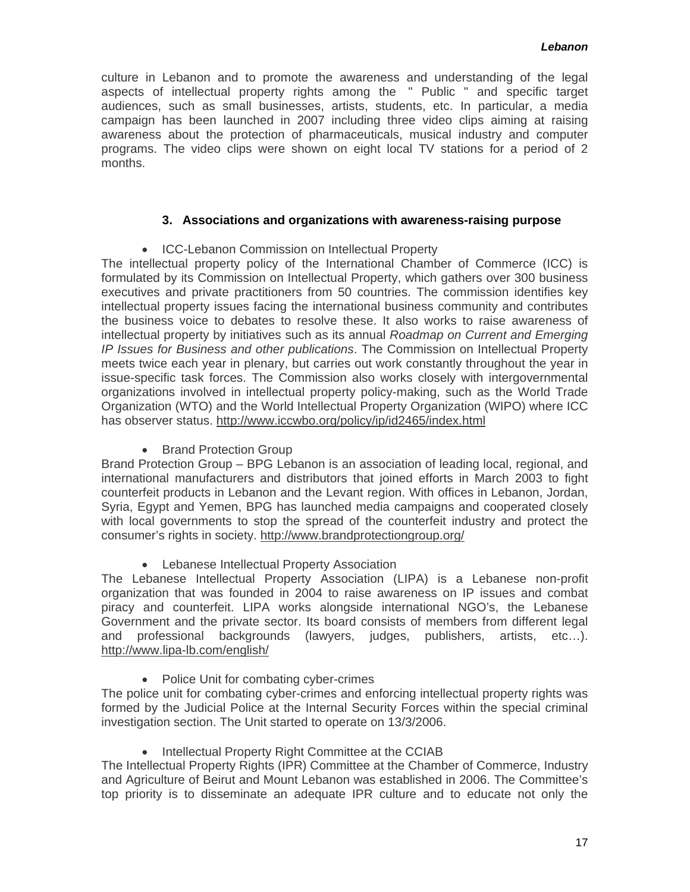<span id="page-16-0"></span>culture in Lebanon and to promote the awareness and understanding of the legal aspects of intellectual property rights among the " Public " and specific target audiences, such as small businesses, artists, students, etc. In particular, a media campaign has been launched in 2007 including three video clips aiming at raising awareness about the protection of pharmaceuticals, musical industry and computer programs. The video clips were shown on eight local TV stations for a period of 2 months.

#### **3. Associations and organizations with awareness-raising purpose**

• ICC-Lebanon Commission on Intellectual Property

The intellectual property policy of the International Chamber of Commerce (ICC) is formulated by its Commission on Intellectual Property, which gathers over 300 business executives and private practitioners from 50 countries. The commission identifies key intellectual property issues facing the international business community and contributes the business voice to debates to resolve these. It also works to raise awareness of intellectual property by initiatives such as its annual *Roadmap on Current and Emerging IP Issues for Business and other publications*. The Commission on Intellectual Property meets twice each year in plenary, but carries out work constantly throughout the year in issue-specific task forces. The Commission also works closely with intergovernmental organizations involved in intellectual property policy-making, such as the World Trade Organization (WTO) and the World Intellectual Property Organization (WIPO) where ICC has observer status.<http://www.iccwbo.org/policy/ip/id2465/index.html>

• Brand Protection Group

Brand Protection Group – BPG Lebanon is an association of leading local, regional, and international manufacturers and distributors that joined efforts in March 2003 to fight counterfeit products in Lebanon and the Levant region. With offices in Lebanon, Jordan, Syria, Egypt and Yemen, BPG has launched media campaigns and cooperated closely with local governments to stop the spread of the counterfeit industry and protect the consumer's rights in society.<http://www.brandprotectiongroup.org/>

• Lebanese Intellectual Property Association

The Lebanese Intellectual Property Association (LIPA) is a Lebanese non-profit organization that was founded in 2004 to raise awareness on IP issues and combat piracy and counterfeit. LIPA works alongside international NGO's, the Lebanese Government and the private sector. Its board consists of members from different legal and professional backgrounds (lawyers, judges, publishers, artists, etc…). <http://www.lipa-lb.com/english/>

• Police Unit for combating cyber-crimes

The police unit for combating cyber-crimes and enforcing intellectual property rights was formed by the Judicial Police at the Internal Security Forces within the special criminal investigation section. The Unit started to operate on 13/3/2006.

• Intellectual Property Right Committee at the CCIAB

The Intellectual Property Rights (IPR) Committee at the Chamber of Commerce, Industry and Agriculture of Beirut and Mount Lebanon was established in 2006. The Committee's top priority is to disseminate an adequate IPR culture and to educate not only the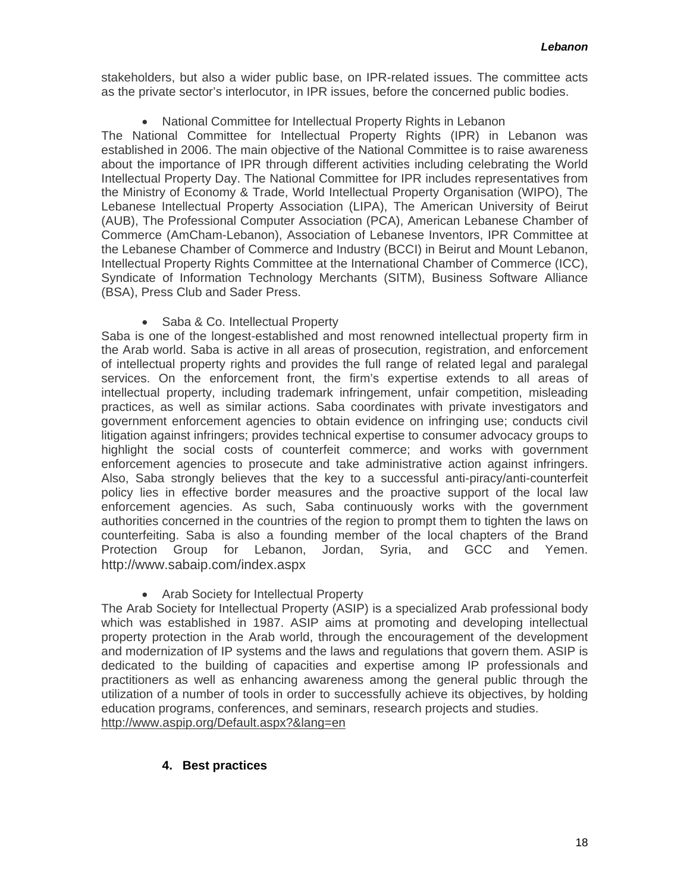<span id="page-17-0"></span>stakeholders, but also a wider public base, on IPR-related issues. The committee acts as the private sector's interlocutor, in IPR issues, before the concerned public bodies.

#### • National Committee for Intellectual Property Rights in Lebanon

The National Committee for Intellectual Property Rights (IPR) in Lebanon was established in 2006. The main objective of the National Committee is to raise awareness about the importance of IPR through different activities including celebrating the World Intellectual Property Day. The National Committee for IPR includes representatives from the Ministry of Economy & Trade, World Intellectual Property Organisation (WIPO), The Lebanese Intellectual Property Association (LIPA), The American University of Beirut (AUB), The Professional Computer Association (PCA), American Lebanese Chamber of Commerce (AmCham-Lebanon), Association of Lebanese Inventors, IPR Committee at the Lebanese Chamber of Commerce and Industry (BCCI) in Beirut and Mount Lebanon, Intellectual Property Rights Committee at the International Chamber of Commerce (ICC), Syndicate of Information Technology Merchants (SITM), Business Software Alliance (BSA), Press Club and Sader Press.

#### • Saba & Co. Intellectual Property

Saba is one of the longest-established and most renowned intellectual property firm in the Arab world. Saba is active in all areas of prosecution, registration, and enforcement of intellectual property rights and provides the full range of related legal and paralegal services. On the enforcement front, the firm's expertise extends to all areas of intellectual property, including trademark infringement, unfair competition, misleading practices, as well as similar actions. Saba coordinates with private investigators and government enforcement agencies to obtain evidence on infringing use; conducts civil litigation against infringers; provides technical expertise to consumer advocacy groups to highlight the social costs of counterfeit commerce; and works with government enforcement agencies to prosecute and take administrative action against infringers. Also, Saba strongly believes that the key to a successful anti-piracy/anti-counterfeit policy lies in effective border measures and the proactive support of the local law enforcement agencies. As such, Saba continuously works with the government authorities concerned in the countries of the region to prompt them to tighten the laws on counterfeiting. Saba is also a founding member of the local chapters of the Brand Protection Group for Lebanon, Jordan, Syria, and GCC and Yemen. <http://www.sabaip.com/index.aspx>

• Arab Society for Intellectual Property

The Arab Society for Intellectual Property (ASIP) is a specialized Arab professional body which was established in 1987. ASIP aims at promoting and developing intellectual property protection in the Arab world, through the encouragement of the development and modernization of IP systems and the laws and regulations that govern them. ASIP is dedicated to the building of capacities and expertise among IP professionals and practitioners as well as enhancing awareness among the general public through the utilization of a number of tools in order to successfully achieve its objectives, by holding education programs, conferences, and seminars, research projects and studies. <http://www.aspip.org/Default.aspx?&lang=en>

#### **4. Best practices**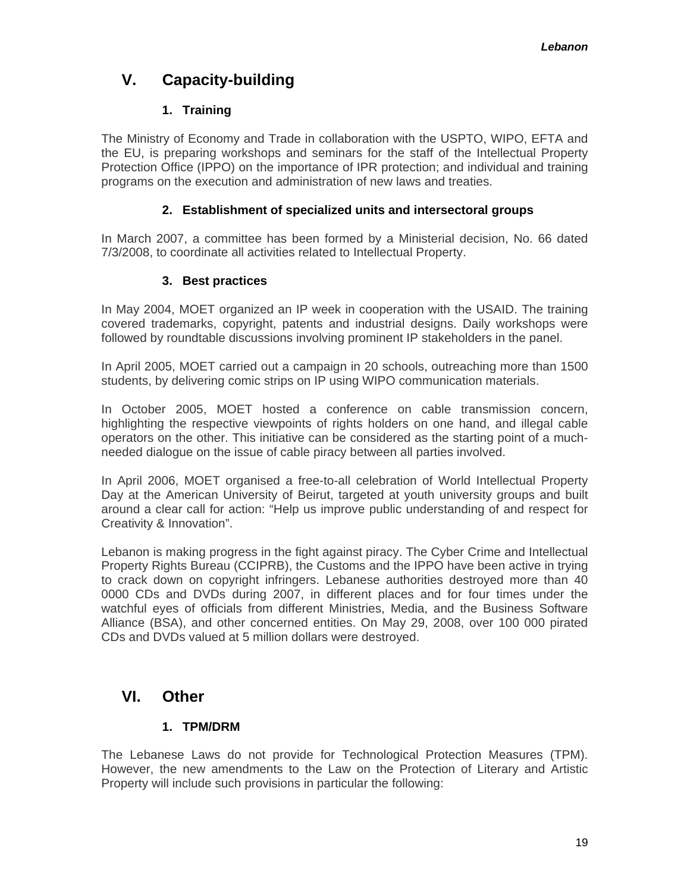# <span id="page-18-0"></span>**V. Capacity-building**

# **1. Training**

The Ministry of Economy and Trade in collaboration with the USPTO, WIPO, EFTA and the EU, is preparing workshops and seminars for the staff of the Intellectual Property Protection Office (IPPO) on the importance of IPR protection; and individual and training programs on the execution and administration of new laws and treaties.

# **2. Establishment of specialized units and intersectoral groups**

In March 2007, a committee has been formed by a Ministerial decision, No. 66 dated 7/3/2008, to coordinate all activities related to Intellectual Property.

# **3. Best practices**

In May 2004, MOET organized an IP week in cooperation with the USAID. The training covered trademarks, copyright, patents and industrial designs. Daily workshops were followed by roundtable discussions involving prominent IP stakeholders in the panel.

In April 2005, MOET carried out a campaign in 20 schools, outreaching more than 1500 students, by delivering comic strips on IP using WIPO communication materials.

In October 2005, MOET hosted a conference on cable transmission concern, highlighting the respective viewpoints of rights holders on one hand, and illegal cable operators on the other. This initiative can be considered as the starting point of a muchneeded dialogue on the issue of cable piracy between all parties involved.

In April 2006, MOET organised a free-to-all celebration of World Intellectual Property Day at the American University of Beirut, targeted at youth university groups and built around a clear call for action: "Help us improve public understanding of and respect for Creativity & Innovation".

Lebanon is making progress in the fight against piracy. The Cyber Crime and Intellectual Property Rights Bureau (CCIPRB), the Customs and the IPPO have been active in trying to crack down on copyright infringers. Lebanese authorities destroyed more than 40 0000 CDs and DVDs during 2007, in different places and for four times under the watchful eyes of officials from different Ministries, Media, and the Business Software Alliance (BSA), and other concerned entities. On May 29, 2008, over 100 000 pirated CDs and DVDs valued at 5 million dollars were destroyed.

# **VI. Other**

# **1. TPM/DRM**

The Lebanese Laws do not provide for Technological Protection Measures (TPM). However, the new amendments to the Law on the Protection of Literary and Artistic Property will include such provisions in particular the following: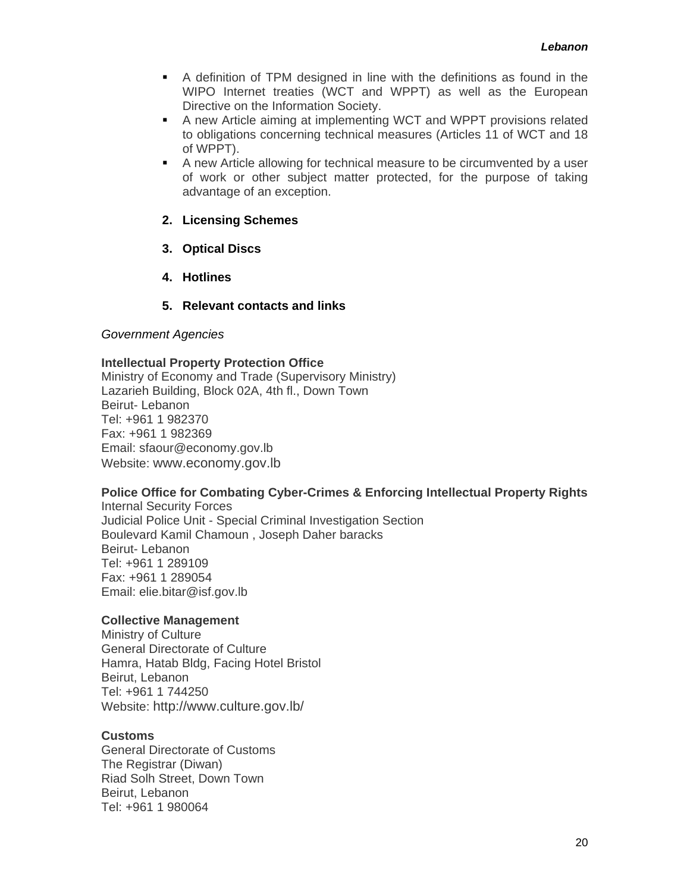- <span id="page-19-0"></span> A definition of TPM designed in line with the definitions as found in the WIPO Internet treaties (WCT and WPPT) as well as the European Directive on the Information Society.
- A new Article aiming at implementing WCT and WPPT provisions related to obligations concerning technical measures (Articles 11 of WCT and 18 of WPPT).
- A new Article allowing for technical measure to be circumvented by a user of work or other subject matter protected, for the purpose of taking advantage of an exception.

#### **2. Licensing Schemes**

- **3. Optical Discs**
- **4. Hotlines**

#### **5. Relevant contacts and links**

#### *Government Agencies*

#### **Intellectual Property Protection Office**

Ministry of Economy and Trade (Supervisory Ministry) Lazarieh Building, Block 02A, 4th fl., Down Town Beirut- Lebanon Tel: +961 1 982370 Fax: +961 1 982369 Email: sfaour@economy.gov.lb Website: [www.economy.gov.lb](http://www.economy.gov.lb/)

#### **Police Office for Combating Cyber-Crimes & Enforcing Intellectual Property Rights**

Internal Security Forces Judicial Police Unit - Special Criminal Investigation Section Boulevard Kamil Chamoun , Joseph Daher baracks Beirut- Lebanon Tel: +961 1 289109 Fax: +961 1 289054 Email: elie.bitar@isf.gov.lb

#### **Collective Management**

Ministry of Culture General Directorate of Culture Hamra, Hatab Bldg, Facing Hotel Bristol Beirut, Lebanon Tel: +961 1 744250 Website: <http://www.culture.gov.lb/>

#### **Customs**

General Directorate of Customs The Registrar (Diwan) Riad Solh Street, Down Town Beirut, Lebanon Tel: +961 1 980064